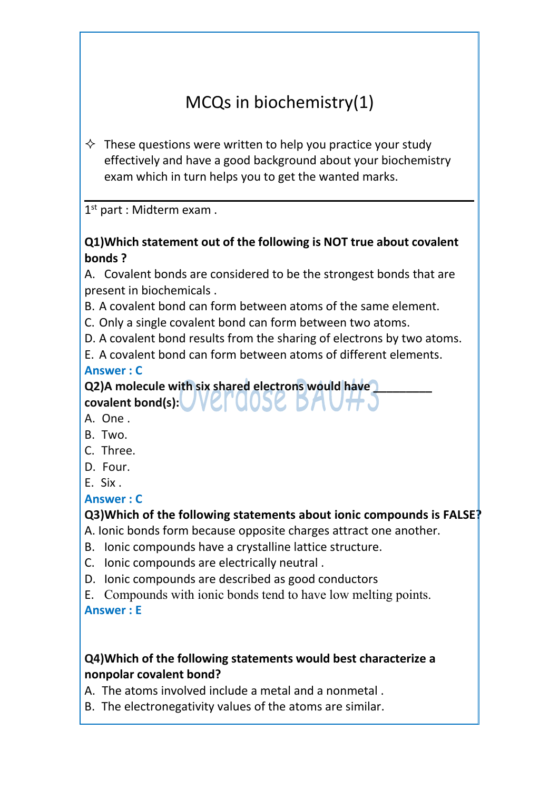# MCQs in biochemistry(1)

 $\Diamond$  These questions were written to help you practice your study effectively and have a good background about your biochemistry exam which in turn helps you to get the wanted marks.

1 st part : Midterm exam .

### **Q1)Which statement out of the following is NOT true about covalent bonds ?**

A. Covalent bonds are considered to be the strongest bonds that are present in biochemicals .

B. A covalent bond can form between atoms of the same element.

C. Only a single covalent bond can form between two atoms.

D. A covalent bond results from the sharing of electrons by two atoms.

E. A covalent bond can form between atoms of different elements.

#### **Answer : C**

**Q2)A molecule with six shared electrons would have \_\_\_\_\_\_\_\_\_**

- **covalent bond(s):** A. One .
- B. Two.
- C. Three.
- D. Four.
- E. Six .

### **Answer : C**

### **Q3)Which of the following statements about ionic compounds is FALSE?**

A. Ionic bonds form because opposite charges attract one another.

- B. Ionic compounds have a crystalline lattice structure.
- C. Ionic compounds are electrically neutral .
- D. Ionic compounds are described as good conductors
- E. Compounds with ionic bonds tend to have low melting points. **Answer : E**

### **Q4)Which of the following statements would best characterize a nonpolar covalent bond?**

A. The atoms involved include a metal and a nonmetal .

B. The electronegativity values of the atoms are similar.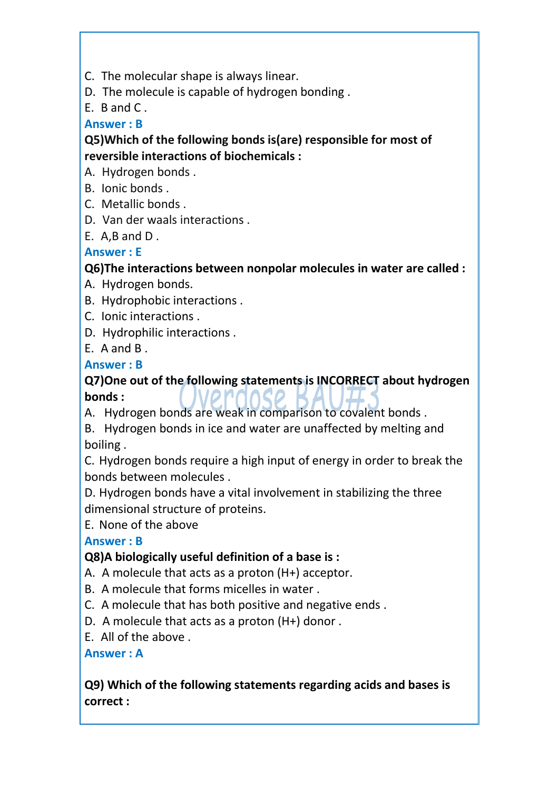C. The molecular shape is always linear.

D. The molecule is capable of hydrogen bonding .

E. B and C .

### **Answer : B**

**Q5)Which of the following bonds is(are) responsible for most of reversible interactions of biochemicals :**

A. Hydrogen bonds .

- 
- B. Ionic bonds .<br>C. Metallic bonds .
- D. Van der waals interactions .
- E. A,B and D .

# **Answer : E**

### **Q6)The interactions between nonpolar molecules in water are called :**

- A. Hydrogen bonds.
- B. Hydrophobic interactions .
- C. Ionic interactions .
- D. Hydrophilic interactions .
- E. A and B .

### **Answer : B**

**Q7)One out of the following statements is INCORRECT about hydrogen bonds :**

A. Hydrogen bonds are weak in comparison to covalent bonds.

B. Hydrogen bonds in ice and water are unaffected by melting and boiling .

C. Hydrogen bonds require a high input of energy in order to break the bonds between molecules .

D. Hydrogen bonds have a vital involvement in stabilizing the three dimensional structure of proteins.

E. None of the above

**Answer : B**

# **Q8)A biologically useful definition of a base is :**

- A. A molecule that acts as a proton (H+) acceptor.
- B. A molecule that forms micelles in water .
- C. A molecule that has both positive and negative ends .
- D. A molecule that acts as a proton (H+) donor .
- E. All of the above .

**Answer : A**

### **Q9) Which of the following statements regarding acids and bases is correct :**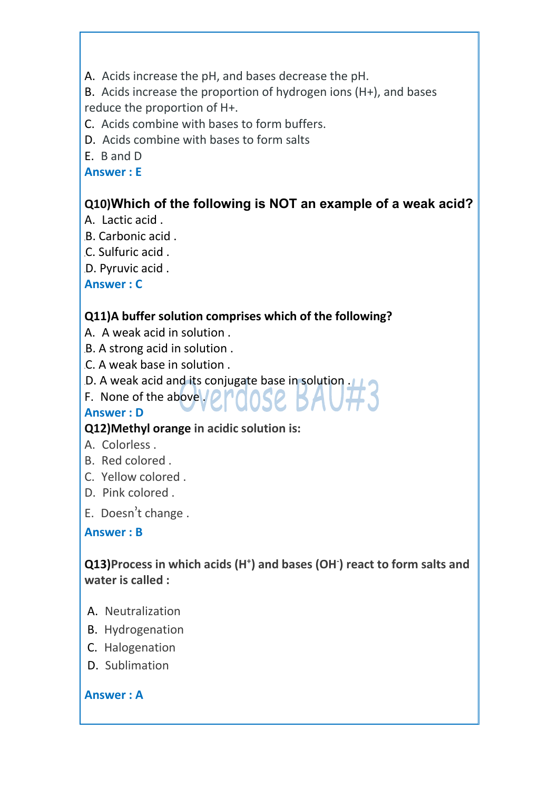A. Acids increase the pH, and bases decrease the pH.

B. Acids increase the proportion of hydrogen ions (H+), and bases reduce the proportion of H+.

- C. Acids combine with bases to form buffers.
- D. Acids combine with bases to form salts
- E. B and D

**Answer : E**

# **Q10)Which of the following is NOT an example of a weak acid?**

- A. Lactic acid .
- B. Carbonic acid .
- C. Sulfuric acid .
- D. Pyruvic acid .

**Answer : C**

### **Q11)A buffer solution comprises which of the following?**

- A. A weakacid in solution .
- B. A strong acid in solution .
- C. A weak base in solution .
- D. A weak acid and its conjugate base in solution .
- F. None of the above  $\sqrt{\rho}$

#### **Answer : D**

### **Q12)Methyl orange in acidic solution is:**

- A. Colorless .
- B. Red colored .
- C. Yellow colored .
- D. Pink colored .
- E. Doesn't change .

#### **Answer : B**

### **Q13)Process in which acids (H + ) and bases (OH -) react to form salts and water is called :**

- A. Neutralization
- B. Hydrogenation
- C. Halogenation
- D. Sublimation

#### **Answer : A**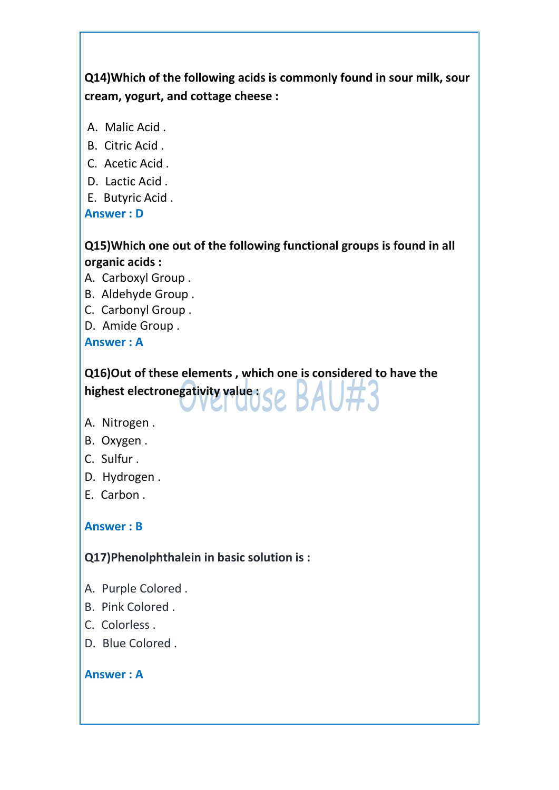# **Q14)Which of the following acids is commonly found in sour milk,sour cream, yogurt, and cottage cheese :**

- A. Malic Acid .
- B. Citric Acid .
- C. Acetic Acid .
- D. Lactic Acid .
- E. Butyric Acid .

**Answer : D**

# **Q15)Which one out of the following functional groups is found in all organic acids :**

- A. Carboxyl Group .
- B. Aldehyde Group .
- C. Carbonyl Group .
- D. Amide Group .

**Answer : A**

# **Q16)Out of these elements , which one is considered to have the highest electronegativity value** Se BAU#3

- A. Nitrogen .
- B. Oxygen .
- C. Sulfur .
- D. Hydrogen .
- E. Carbon .

# **Answer : B**

# **Q17)Phenolphthalein in basic solution is :**

- A. Purple Colored .
- B. Pink Colored .
- C. Colorless .
- D. Blue Colored .

#### **Answer : A**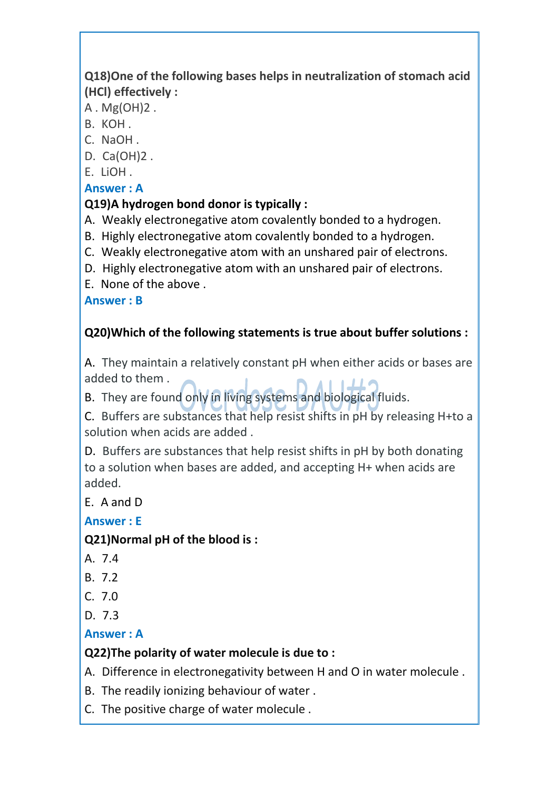# **Q18)One of the following bases helps in neutralization of stomach acid (HCl) effectively :**

A . Mg(OH)2 .

- B. KOH .
- C. NaOH .
- D. Ca(OH)2 .
- E. LiOH .

# **Answer : A**

# **Q19)A hydrogen bond donor is typically :**

- 
- A. Weakly electronegative atom covalently bonded to a hydrogen.<br>B. Highly electronegative atom covalently bonded to a hydrogen.<br>C. Weakly electronegative atom with an unshared pair of electrons.
- 
- D. Highly electronegative atom with an unshared pair of electrons.
- E. None of the above .

**Answer : B**

# **Q20)Which of the following statements is true about buffer solutions :**

A. They maintain a relatively constant pH when either acids or bases are added to them .

B. They are found only in living systems and biological fluids.

C. Buffers are substances that help resist shifts in pH by releasing H+to a solution when acids are added .

D. Buffers are substances that help resist shifts in pH by both donating to a solution when bases are added, and accepting H+ when acids are added.

E. A and D

**Answer : E**

# **Q21)Normal pH of the blood is :**

- A. 7.4
- B. 7.2
- C. 7.0
- D. 7.3

# **Answer : A**

# **Q22)The polarity of water molecule is due to :**

A. Difference in electronegativity between H and O in water molecule .

- B. The readily ionizing behaviour of water .
- C. The positive charge of water molecule .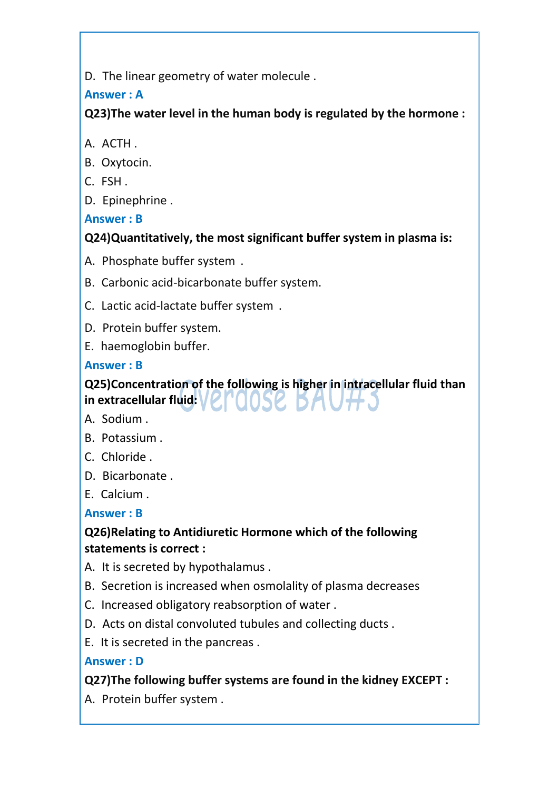D. The linear geometry of water molecule .

# **Answer : A**

**Q23)The water level in the human body is regulated by the hormone :**

- A. ACTH .
- B. Oxytocin.
- C. FSH .
- D. Epinephrine .

**Answer : B**

# **Q24)Quantitatively, the most significant buffer system in plasma is:**

- A. Phosphate buffer system .
- B. Carbonic acid-bicarbonate buffer system.
- C. Lactic acid-lactate buffer system .
- D. Protein buffer system.
- E. haemoglobin buffer.

# **Answer : B**

# **Q25)Concentration of the following is higher in intracellular fluid than in extracellular fluid:**

- A. Sodium .
- B. Potassium .
- C. Chloride .
- D. Bicarbonate .
- E. Calcium .

# **Answer : B**

# **Q26)Relating to Antidiuretic Hormone which of the following statements is correct :**

- A. It is secreted by hypothalamus .
- B. Secretion is increased when osmolality of plasma decreases
- C. Increased obligatory reabsorption of water .
- D. Acts on distal convoluted tubules and collecting ducts .
- E. It is secreted in the pancreas .

# **Answer : D**

# **Q27)The following buffer systems are found in the kidney EXCEPT :**

A. Protein buffer system .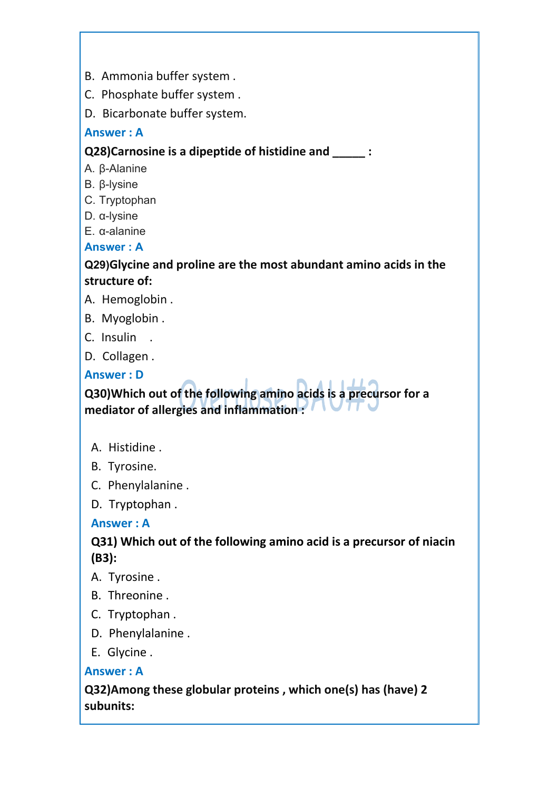- B. Ammonia buffer system .
- C. Phosphate buffer system .
- D. Bicarbonate buffer system.

#### **Answer : A**

#### **Q28)Carnosine is a dipeptide of histidine and \_\_\_\_\_ :**

- A. β-Alanine
- B. β-lysine
- C. Tryptophan
- D. α-lysine
- E. α-alanine

#### **Answer : A**

#### **Q29)Glycine and proline are the most abundant amino acids in the structure of:**

- A. Hemoglobin .
- B. Myoglobin .
- C. Insulin .
- D. Collagen .

#### **Answer : D**

**Q30)Which out of the following amino acids is a precursor for a mediator of allergies and inflammation :**

- A. Histidine .
- B. Tyrosine.
- C. Phenylalanine .
- D. Tryptophan .

#### **Answer : A**

#### **Q31) Which out of the following amino acid is a precursor of niacin (B3):**

- A. Tyrosine .
- B. Threonine .
- C. Tryptophan .
- D. Phenylalanine .
- E. Glycine .

#### **Answer : A**

**Q32)Among these globular proteins , which one(s) has (have) 2 subunits:**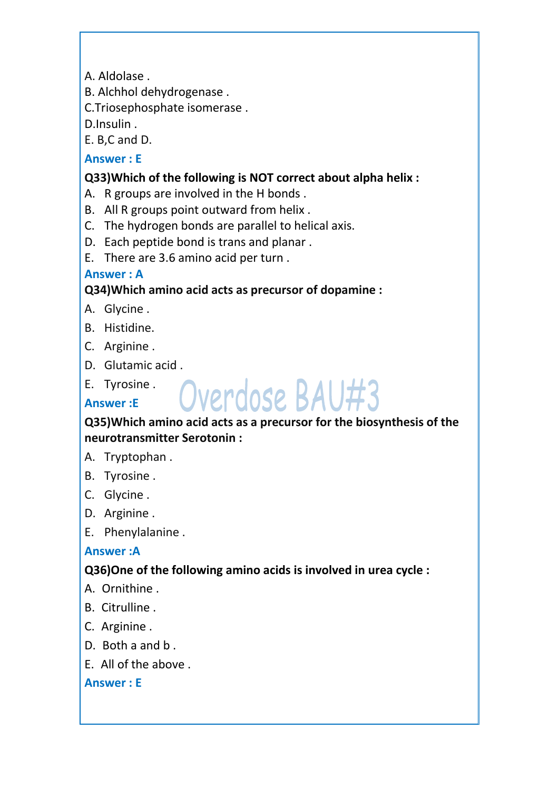A. Aldolase .

B. Alchhol dehydrogenase .

C.Triosephosphate isomerase .

D.Insulin .

E. B,C and D.

### **Answer : E**

### **Q33)Which of the following is NOT correct about alpha helix :**

- A. R groups are involved in the H bonds .
- B. All R groups point outward from helix .
- C. The hydrogen bonds are parallel to helical axis.
- D. Each peptide bond is trans and planar .
- E. There are 3.6 amino acid per turn .

### **Answer : A**

# **Q34)Which amino acid acts as precursor of dopamine :**

- A. Glycine .
- B. Histidine.
- C. Arginine .
- D. Glutamic acid .
- E. Tyrosine . **All and a deal**

# **Answer :E**

### **Q35)Which amino acid acts as a precursor for the biosynthesis of the neurotransmitter Serotonin :**

- A. Tryptophan .
- B. Tyrosine .
- C. Glycine .
- D. Arginine .
- E. Phenylalanine .

# **Answer :A**

# **Q36)One of the following amino acids is involved in urea cycle :**

- A. Ornithine .
- B. Citrulline .
- C. Arginine .
- D. Both a and b .
- E. All of the above .

#### **Answer : E**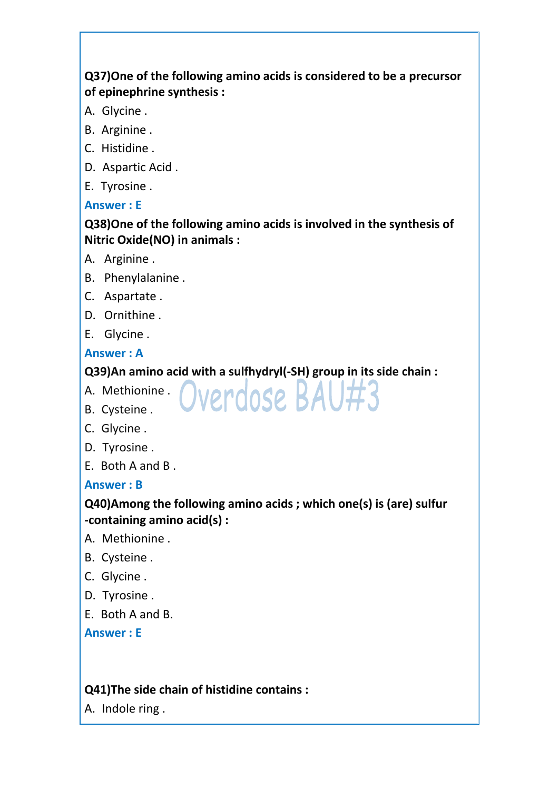### **Q37)One of the following amino acids is considered to be a precursor of epinephrine synthesis :**

- A. Glycine .
- B. Arginine .
- C. Histidine .
- D. Aspartic Acid .
- E. Tyrosine .

#### **Answer : E**

### **Q38)One of the following amino acids is involved in the synthesis of Nitric Oxide(NO) in animals :**

- A. Arginine .
- B. Phenylalanine .
- C. Aspartate .
- D. Ornithine .
- E. Glycine .

#### **Answer : A**

### **Q39)An amino acid with a sulfhydryl(-SH) group in its side chain :**

- A. Methionine . INOROCO
- B. Cysteine . VVVI UVJ
- C. Glycine .
- D. Tyrosine .
- E. Both A and B .

#### **Answer : B**

### **Q40)Among the following amino acids ; which one(s) is (are) sulfur -containing amino acid(s) :**

- A. Methionine .
- B. Cysteine .
- C. Glycine .
- D. Tyrosine .
- E. Both A and B.

**Answer : E**

### **Q41)The side chain of histidine contains :**

A. Indole ring .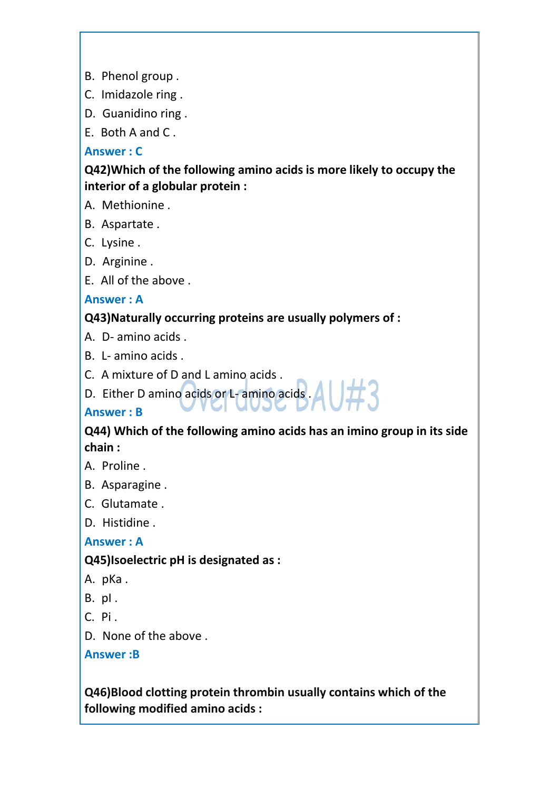- B. Phenol group .
- C. Imidazole ring .
- D. Guanidino ring .
- E. Both A and C .

#### **Answer : C**

#### **Q42)Which of the following amino acids is more likely to occupy the interior of a globular protein :**

A. Methionine .

- B. Aspartate .
- C. Lysine .
- D. Arginine .
- E. All of the above .

### **Answer : A**

#### **Q43)Naturally occurring proteins are usually polymers of :**

- A. D- amino acids .
- B. L- amino acids .
- C. A mixture of D and L amino acids .
- D. Either D amino acids or L- amino acids . A

#### **Answer : B**

### **Q44) Which of the following amino acids has an imino group in its side chain :**

- A. Proline .
- B. Asparagine .
- C. Glutamate .
- D. Histidine .

#### **Answer : A**

### **Q45)Isoelectric pH is designated as :**

- A. pKa .
- B. pI .
- C. Pi .
- D. None of the above .

#### **Answer :B**

**Q46)Blood clotting protein thrombin usually contains which of the following modified amino acids :**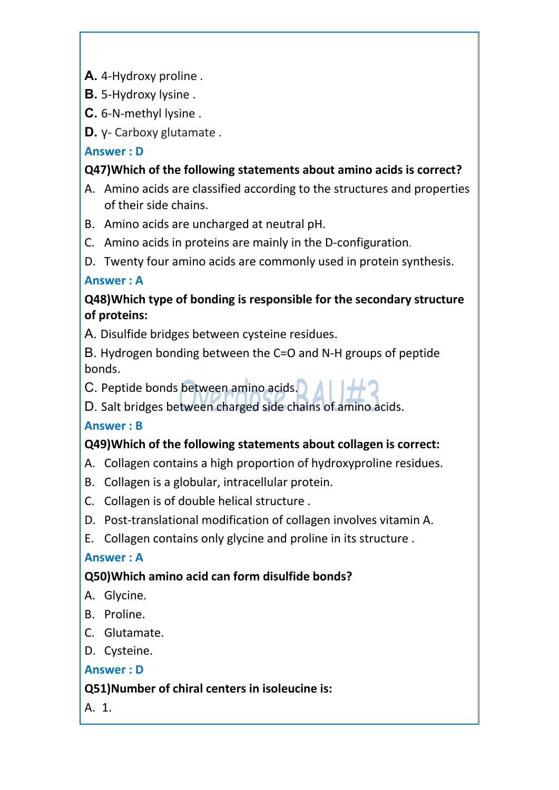A. 4-Hydroxy proline.

**B.** 5-Hydroxy lysine .

6-N-methyl lysine .

γ- Carboxy glutamate .

**Answer : D**

# **Q47)Which of the following statements about amino acids is correct?**

- A. Amino acids are classified according to the structures and properties of their side chains.
- B. Amino acids are uncharged at neutral pH.
- C. Amino acids in proteins are mainly in the D-configuration.
- D. Twenty four amino acids are commonly used in protein synthesis.

# **Answer : A**

# **Q48)Which type of bonding is responsible for the secondary structure of proteins:**

A. Disulfide bridges between cysteine residues.

B. Hydrogen bonding between the C=O and N-H groups of peptide bonds.

C. Peptide bonds between amino acids.

D. Salt bridges between charged side chains of amino acids.

# **Answer : B**

# **Q49)Which of the following statements about collagen is correct:**

- A. Collagen contains a high proportion of hydroxyproline residues.
- B. Collagen is a globular, intracellular protein.
- C. Collagen is of double helical structure .
- D. Post-translational modification of collagen involves vitamin A.
- E. Collagen contains only glycine and proline in its structure .

# **Answer : A**

# **Q50)Which amino acid can form disulfide bonds?**

- A. Glycine.
- B. Proline.
- C. Glutamate.
- D. Cysteine.

# **Answer : D**

# **Q51)Number of chiral centers in isoleucine is:**

A. 1.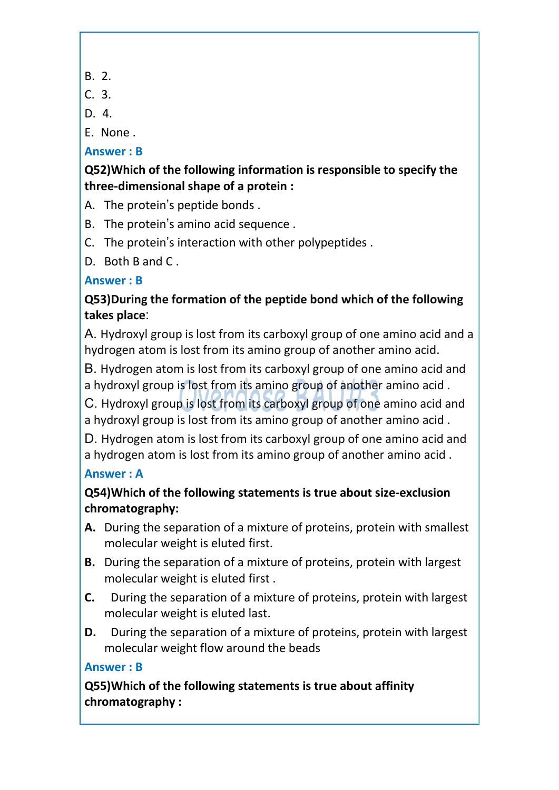- B. 2.
- C. 3.
- D. 4.

E. None .

# **Answer : B**

**Q52)Which of the following information is responsible to specify the three-dimensional shape of a protein :**

- A. The protein's peptide bonds .
- B. The protein's amino acid sequence .
- C. The protein's interaction with other polypeptides .
- D. Both B and C .

# **Answer : B**

# **Q53)During the formation of the peptide bond which of the following takes place**

A. Hydroxyl group is lost from its carboxyl group of one amino acid and a hydrogen atom is lost from its amino group of another amino acid.

B. Hydrogen atom is lost from its carboxyl group of one amino acid and a hydroxyl group is lost from its amino group of another amino acid .

C. Hydroxyl group is lost from its carboxyl group of one amino acid and a hydroxyl group is lost from its amino group of another amino acid .

D. Hydrogen atom is lost from its carboxyl group of one amino acid and a hydrogen atom is lost from its amino group of another amino acid .

# **Answer : A**

# **Q54)Which of the following statements is true about size-exclusion chromatography:**

- **A.** During the separation of a mixture of proteins, protein with smallest molecular weight is eluted first.
- **B.** During the separation of a mixture of proteins, protein with largest molecular weight is eluted first .
- **C.** During the separation of a mixture of proteins, protein with largest molecular weight is eluted last.
- **D.** During the separation of a mixture of proteins, protein with largest molecular weight flow around the beads

# **Answer : B**

**Q55)Which of the following statements is true about affinity chromatography :**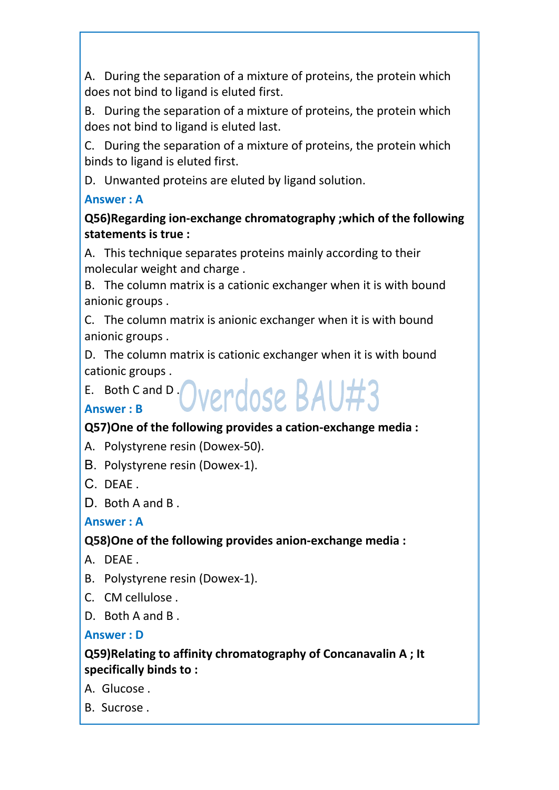A. During the separation of a mixture of proteins, the protein which does not bind to ligand is eluted first.

B. During the separation of a mixture of proteins, the protein which does not bind to ligand is eluted last.

C. During the separation of a mixture of proteins, the protein which binds to ligand is eluted first.

D. Unwanted proteins are eluted by ligand solution.

# **Answer : A**

**Q56)Regarding ion-exchange chromatography ;which of the following statements is true :**

A. This technique separates proteins mainly according to their molecular weight and charge .

B. The column matrix is a cationic exchanger when it is with bound anionic groups .

C. The column matrix is anionic exchanger when it is with bound anionic groups .

D. The column matrix is cationic exchanger when it is with bound cationic groups .

E. Both Cand D.  $N$ 

# **Answer : B**

# **Q57)One of the following provides a cation-exchange media :**

- A. Polystyrene resin (Dowex-50).
- B. Polystyrene resin (Dowex-1).
- C. DEAE .
- D. Both A and B.

# **Answer : A**

# **Q58)One of the following provides anion-exchange media :**

- A. DEAE .
- B. Polystyrene resin (Dowex-1).
- C. CM cellulose .
- D. Both A and B .

# **Answer : D**

# **Q59)Relating to affinity chromatography of Concanavalin A ; It specifically binds to :**

- A. Glucose .
- B. Sucrose .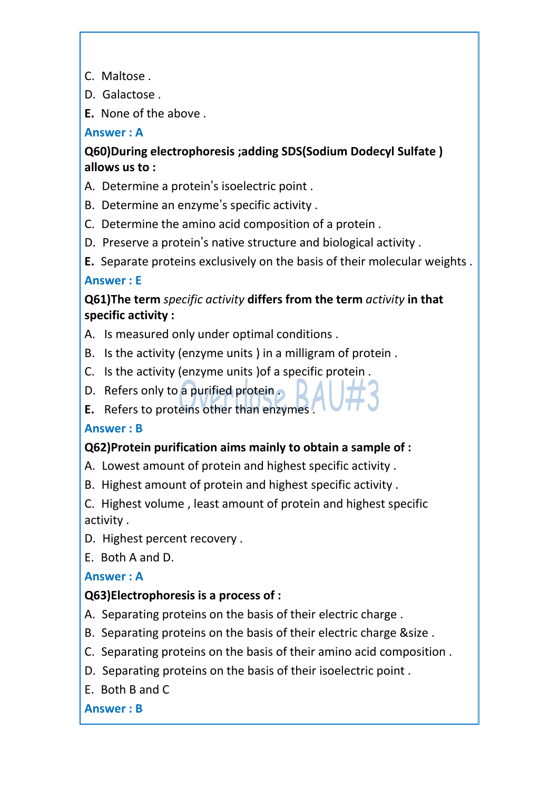- C. Maltose .
- D. Galactose .
- **E.** None of the above .

#### **Answer : A**

**Q60)During electrophoresis ;adding SDS(Sodium Dodecyl Sulfate ) allows us to :**

- A. Determine a protein's isoelectric point .
- B. Determine an enzyme's specific activity .
- C. Determine the amino acid composition of a protein .
- D. Preserve a protein's native structure and biological activity .
- **E.** Separate proteins exclusively on the basis of their molecular weights . **Answer : E**

# **Q61)The term** *specific activity* **differs from the term** *activity***in that specific activity :**

- A. Is measured only under optimal conditions .
- B. Is the activity (enzyme units ) in a milligram of protein .
- C. Is the activity (enzyme units )of a specific protein .
- D. Refers only to a purified protein
- **E.** Refers to proteins other than enzymes .

### **Answer : B**

# **Q62)Protein purification aims mainly to obtain a sample of :**

- A. Lowest amount of protein and highest specific activity .
- B. Highest amount of protein and highest specific activity .
- C. Highest volume , least amount of protein and highest specific activity .
- D. Highest percent recovery .

E. Both A and D.

### **Answer : A**

# **Q63)Electrophoresis is a process of :**

- A. Separating proteins on the basis of their electric charge .
- B. Separating proteins on the basis of their electric charge &size .
- C. Separating proteins on the basis of their amino acid composition .
- D. Separating proteins on the basis of their isoelectric point .
- E. Both B and C

### **Answer : B**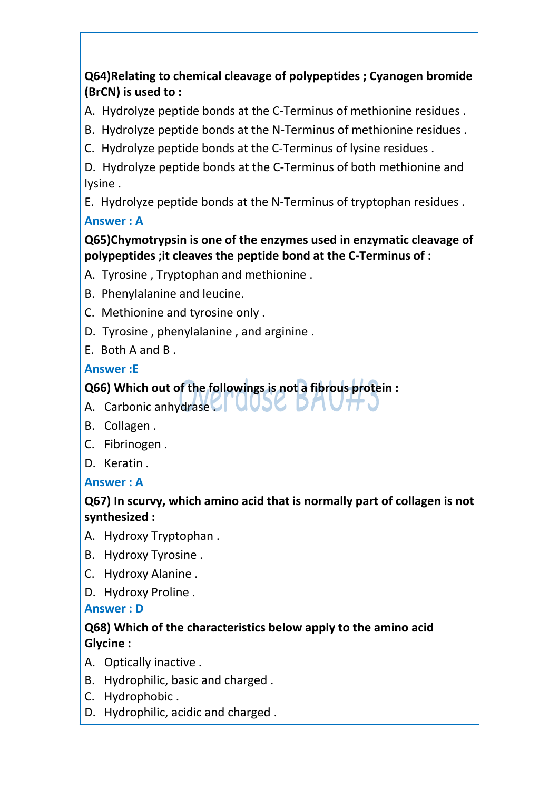# **Q64)Relating to chemical cleavage of polypeptides ; Cyanogen bromide (BrCN) is used to :**

A. Hydrolyze peptide bonds at the C-Terminus of methionine residues .

B. Hydrolyze peptide bonds at the N-Terminus of methionine residues.

C. Hydrolyze peptide bonds at the C-Terminus of lysine residues.

D. Hydrolyze peptide bonds at the C-Terminus of both methionine and lysine .

E. Hydrolyze peptide bonds at the N-Terminus of tryptophan residues . **Answer : A**

# **Q65)Chymotrypsin is one of the enzymes used in enzymatic cleavage of polypeptides ;it cleaves the peptide bond at the C-Terminus of :**

A. Tyrosine , Tryptophan and methionine .

- B. Phenylalanine and leucine.
- C. Methionine and tyrosine only .
- D. Tyrosine , phenylalanine , and arginine .
- E. Both A and B .

# **Answer :E**

# **Q66) Which out of the followings is not a fibrous protein :**

- A. Carbonic anhydrase  $\Box$  UUSC.
- B. Collagen .
- C. Fibrinogen .
- D. Keratin .

# **Answer : A**

# **Q67) In scurvy, which amino acid that is normally part of collagen is not synthesized :**

- A. Hydroxy Tryptophan .
- B. Hydroxy Tyrosine .
- C. Hydroxy Alanine .
- D. Hydroxy Proline .

### **Answer : D**

### **Q68) Which of the characteristics below apply to the amino acid Glycine :**

- 
- A. Optically inactive .<br>B. Hydrophilic, basic and charged .
- C. Hydrophobic .
- D. Hydrophilic, acidic and charged .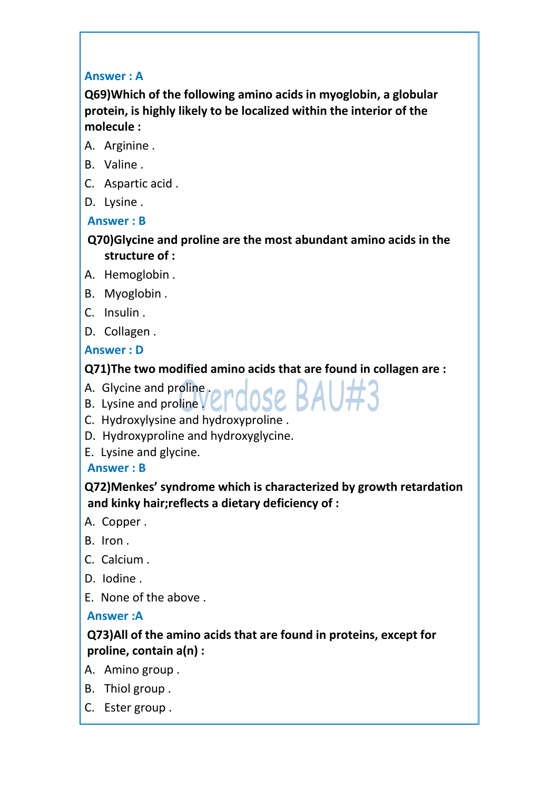#### **Answer : A**

**Q69)Which of the following amino acids in myoglobin, a globular protein, is highly likely to be localized within the interior of the molecule :**

- A. Arginine .
- B. Valine .
- C. Aspartic acid .
- D. Lysine .

#### **Answer : B**

### **Q70)Glycine and proline are the most abundant amino acids in the structure of :**

- A. Hemoglobin .
- B. Myoglobin .
- C. Insulin .
- D. Collagen .

### **Answer : D**

### **Q71)The two modified amino acids that are found in collagen are :**

- A. Glycine and proline  $\mathbf{A}$  and  $\mathbf{A}$  and  $\mathbf{B}$   $\mathbf{A}$
- B. Lysine and proline  $V$   $\bigcup$   $U \cup C$   $D \cap$
- C. Hydroxylysine and hydroxyproline .
- D. Hydroxyproline and hydroxyglycine.
- E. Lysine and glycine.

### **Answer : B**

**Q72)Menkes' syndrome which is characterized by growth retardation and kinky hair;reflects a dietary deficiency of :**

- A. Copper .
- B. Iron .
- C. Calcium .
- D. Iodine .
- E. None of the above .

### **Answer :A**

### **Q73)All of the amino acids that are found in proteins, except for proline, contain a(n) :**

- A. Amino group .
- B. Thiol group .
- C. Ester group .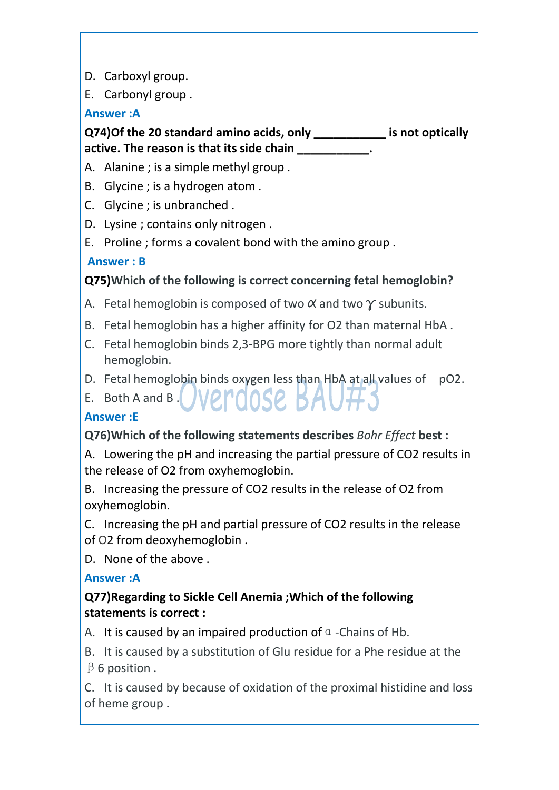D. Carboxyl group.

E. Carbonyl group .

### **Answer :A**

# **Q74)Of the 20 standard amino acids, only \_\_\_\_\_\_\_\_\_\_\_ is not optically active. The reason is that its side chain \_\_\_\_\_\_\_\_\_\_\_.**

- A. Alanine ; is a simple methyl group .
- B. Glycine ; is a hydrogen atom .
- C. Glycine ; is unbranched .
- D. Lysine ; contains only nitrogen .
- E. Proline ; forms a covalent bond with the amino group .

### **Answer : B**

# **Q75)Which of the following is correct concerning fetal hemoglobin?**

- A. Fetal hemoglobin is composed of two  $\alpha$  and two  $\gamma$  subunits.<br>B. Fetal hemoglobin has a higher affinity for O2 than maternal HbA.
- 
- C. Fetal hemoglobin binds 2,3-BPG more tightly than normal adult hemoglobin.
- D. Fetal hemoglobin binds oxygen less than HbA at all values of pO2.
- E. Both A and B. VP. POOSP. BAU.

### **Answer :E**

# **Q76)Which of the following statements describes** *Bohr Effect* **best :**

A. Lowering the pH and increasing the partial pressure of CO2 results in the release of O2 from oxyhemoglobin.

B. Increasing the pressure of CO2 results in the release of O2 from oxyhemoglobin.

C. Increasing the pH and partial pressure of CO2 results in the release of O2 from deoxyhemoglobin .

D. None of the above .

### **Answer :A**

# **Q77)Regarding to Sickle Cell Anemia ;Which of the following statements is correct :**

A. It is caused by an impaired production of  $\alpha$  -Chains of Hb.

B. It is caused by a substitution of Glu residue for a Phe residue at the  $\beta$  6 position.

C. It is caused by because of oxidation of the proximal histidine and loss of heme group .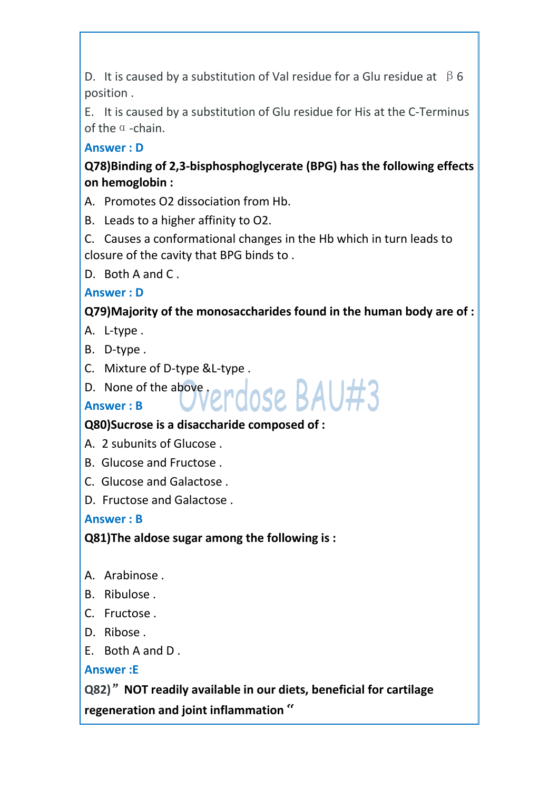D. It is caused by a substitution of Val residue for a Glu residue at  $\beta$  6 position .

E. It is caused by a substitution of Glu residue for His at the C-Terminus of the  $\alpha$  -chain.

**Answer : D**

**Q78)Binding of 2,3-bisphosphoglycerate (BPG) has the following effects on hemoglobin :**

A. Promotes O2 dissociation from Hb.

B. Leads to a higher affinity to O2.

C. Causes a conformational changes in the Hb which in turn leads to closure of the cavity that BPG binds to .

D. Both A and C.

# **Answer : D**

# **Q79)Majority of the monosaccharides found in the human body are of :**

- A. L-type .
- B. D-type .
- C. Mixture of D-type &L-type .
- D. None of the above  $\ell$  Processe  $BAU#3$

# **Answer : B**

# **Q80)Sucrose is a disaccharide composed of :**

- A. 2 subunits of Glucose .
- B. Glucose and Fructose .
- C. Glucose and Galactose .
- D. Fructose and Galactose .

# **Answer : B**

**Q81)The aldose sugar among the following is :**

- A. Arabinose .
- B. Ribulose .
- C. Fructose .
- D. Ribose .
- E. Both A and D .

# **Answer :E**

**Q82)**"**NOT readily available in our diets, beneficial for cartilage regeneration and joint inflammation "**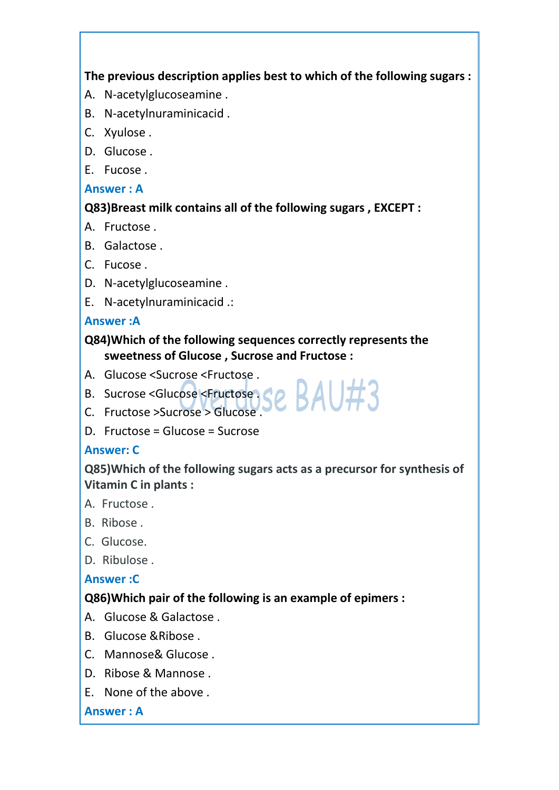**The previous description applies best to which of the following sugars :**

- A. N-acetylglucoseamine .
- B. N-acetylnuraminicacid .
- C. Xyulose .
- D. Glucose .
- E. Fucose .

#### **Answer : A**

### **Q83)Breast milk contains all of the following sugars , EXCEPT :**

- A. Fructose .
- B. Galactose .
- C. Fucose .
- D. N-acetylglucoseamine .
- E. N-acetylnuraminicacid .:

#### **Answer :A**

### **Q84)Which of the following sequences correctly represents the sweetness of Glucose , Sucrose and Fructose :**

- A. Glucose <Sucrose <Fructose .
- B. Sucrose <Glucose <Fructose Se BAU#3
- C. Fructose >Sucrose > Glucose .<br>D. Fructose = Glucose = Sucrose
- 

### **Answer: C**

**Q85)Which of the following sugars acts as a precursor for synthesis of Vitamin C in plants :**

- A. Fructose .
- B. Ribose .
- C. Glucose.
- D. Ribulose .

### **Answer :C**

### **Q86)Which pair of the following is an example of epimers :**

- A. Glucose & Galactose .
- B. Glucose &Ribose .
- C. Mannose& Glucose .
- D. Ribose & Mannose .
- E. None of the above .

#### **Answer : A**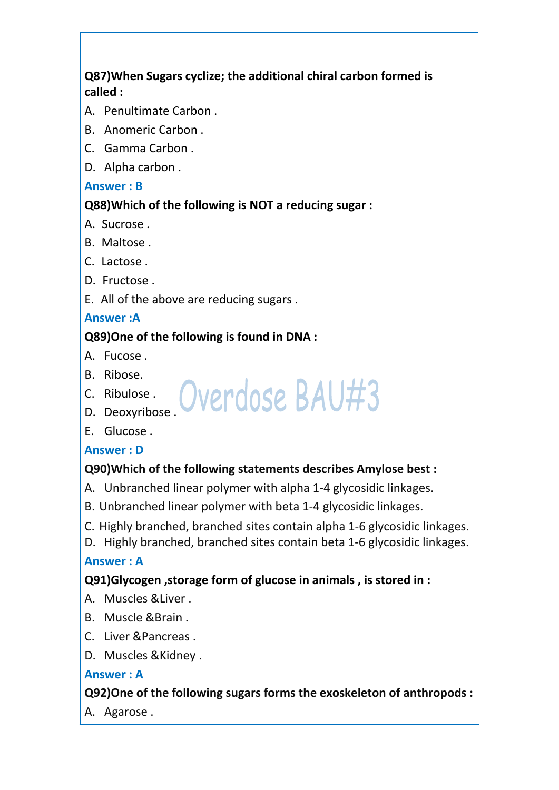# **Q87)When Sugars cyclize; the additional chiral carbon formed is called :**

- A. Penultimate Carbon .
- B. Anomeric Carbon .
- C. Gamma Carbon .
- D. Alpha carbon .

#### **Answer : B**

#### **Q88)Which of the following is NOT a reducing sugar :**

- A. Sucrose .
- B. Maltose .
- C. Lactose .
- D. Fructose .
- E. All of the above are reducing sugars .

#### **Answer :A**

### **Q89)One of the following is found in DNA :**

- A. Fucose .
- B. Ribose.
- C. Ribulose. Overdose BAU#3
- D. Deoxyribose .
- E. Glucose .

### **Answer : D**

### **Q90)Which of the following statements describes Amylose best :**

- A. Unbranched linear polymer with alpha 1-4 glycosidic linkages.
- B. Unbranched linear polymer with beta 1-4 glycosidic linkages.
- C. Highly branched, branched sites contain alpha 1-6 glycosidic linkages.
- D. Highly branched, branched sites contain beta 1-6 glycosidic linkages.

### **Answer : A**

### **Q91)Glycogen ,storage form of glucose in animals , is stored in :**

- A. Muscles &Liver .
- B. Muscle &Brain .
- C. Liver &Pancreas .
- D. Muscles &Kidney .

#### **Answer : A**

### **Q92)One of the following sugars forms the exoskeleton of anthropods :**

A. Agarose .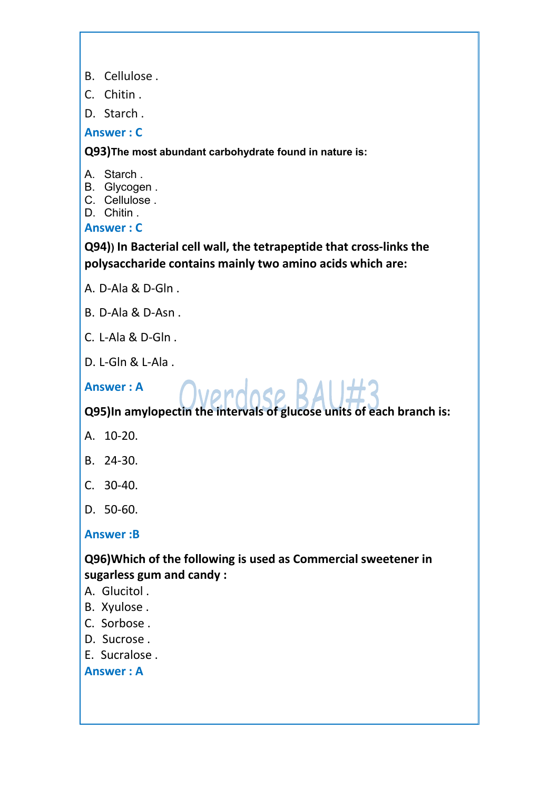- B. Cellulose .
- C. Chitin .
- D. Starch .

**Answer : C**

**Q93)The most abundant carbohydrate found in nature is:**

A. Starch .

- B. Glycogen .
- C. Cellulose .

D. Chitin .

#### **Answer : C**

**Q94)) In Bacterial cellwall, the tetrapeptide that cross-links the polysaccharide contains mainly two amino acids which are:**

- A. D-Ala & D-Gln .
- B. D-Ala & D-Asn .
- C. L-Ala & D-Gln .
- D. L-Gln & L-Ala .

# Answer:A Cyprologe RAIL#3

**Q95)In amylopectin the intervals of glucose units of each branch is:**

- A. 10-20.
- B. 24-30.
- C. 30-40.
- D. 50-60.

#### **Answer :B**

### **Q96)Which of the following is used as Commercial sweetener in sugarless gum and candy :**

- A. Glucitol .
- B. Xyulose .
- C. Sorbose .
- D. Sucrose .
- E. Sucralose .

**Answer : A**